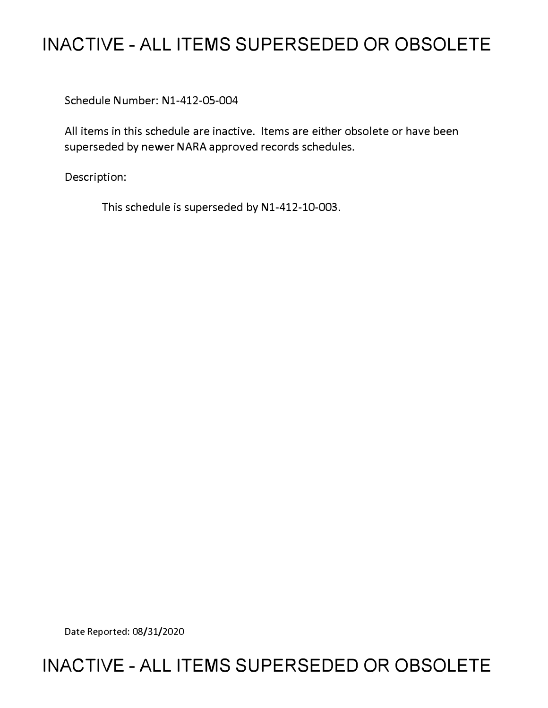# **INACTIVE - ALL ITEMS SUPERSEDED OR OBSOLETE**

Schedule Number: Nl-412-05-004

All items in this schedule are inactive. Items are either obsolete or have been superseded by newer NARA approved records schedules.

Description:

This schedule is superseded by N1-412-10-003.

Date Reported: 08/31/2020

# **INACTIVE - ALL ITEMS SUPERSEDED OR OBSOLETE**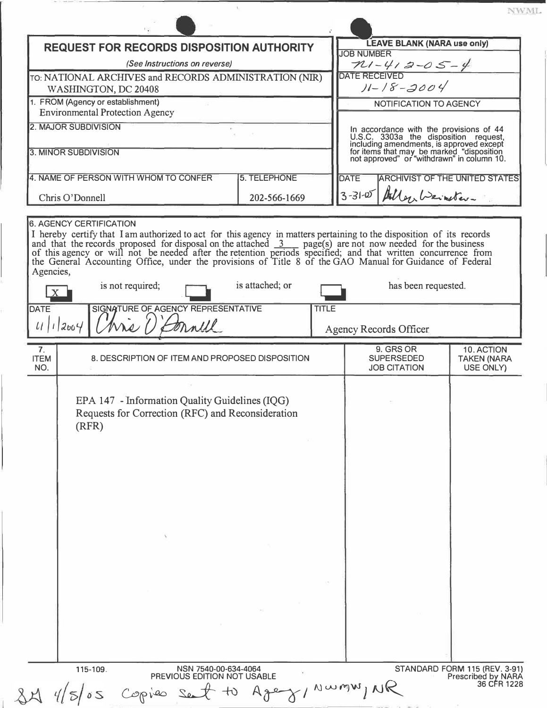| <b>REQUEST FOR RECORDS DISPOSITION AUTHORITY</b>                            |                                                                                                                                                                                                                                                                                                                                                                                                |                     |              | <b>LEAVE BLANK (NARA use only)</b>                                                                                                                                                                                      |                                          |                                 |  |
|-----------------------------------------------------------------------------|------------------------------------------------------------------------------------------------------------------------------------------------------------------------------------------------------------------------------------------------------------------------------------------------------------------------------------------------------------------------------------------------|---------------------|--------------|-------------------------------------------------------------------------------------------------------------------------------------------------------------------------------------------------------------------------|------------------------------------------|---------------------------------|--|
| (See Instructions on reverse)                                               |                                                                                                                                                                                                                                                                                                                                                                                                |                     |              | <b>JOB NUMBER</b><br>$\n  PLI - 4I 2-0 S - 4\n\nDATE RECEIVED$                                                                                                                                                          |                                          |                                 |  |
|                                                                             | TO: NATIONAL ARCHIVES and RECORDS ADMINISTRATION (NIR)                                                                                                                                                                                                                                                                                                                                         |                     |              |                                                                                                                                                                                                                         |                                          |                                 |  |
| WASHINGTON, DC 20408                                                        |                                                                                                                                                                                                                                                                                                                                                                                                |                     |              | $11 - 18 - 3004$                                                                                                                                                                                                        |                                          |                                 |  |
| 1. FROM (Agency or establishment)<br><b>Environmental Protection Agency</b> |                                                                                                                                                                                                                                                                                                                                                                                                |                     |              | NOTIFICATION TO AGENCY                                                                                                                                                                                                  |                                          |                                 |  |
|                                                                             | 2. MAJOR SUBDIVISION                                                                                                                                                                                                                                                                                                                                                                           |                     |              |                                                                                                                                                                                                                         |                                          |                                 |  |
|                                                                             |                                                                                                                                                                                                                                                                                                                                                                                                |                     |              |                                                                                                                                                                                                                         |                                          |                                 |  |
| 3. MINOR SUBDIVISION                                                        |                                                                                                                                                                                                                                                                                                                                                                                                |                     |              | In accordance with the provisions of 44<br>U.S.C. 3303a the disposition request,<br>including amendments, is approved except<br>for items that may be marked "disposition<br>not approved" or "withdrawn" in column 10. |                                          |                                 |  |
|                                                                             | 4. NAME OF PERSON WITH WHOM TO CONFER                                                                                                                                                                                                                                                                                                                                                          | <b>5. TELEPHONE</b> |              |                                                                                                                                                                                                                         |                                          |                                 |  |
|                                                                             |                                                                                                                                                                                                                                                                                                                                                                                                |                     |              | <b>DATE</b><br><b>ARCHIVIST OF THE UNITED STATES</b>                                                                                                                                                                    |                                          |                                 |  |
| Chris O'Donnell                                                             |                                                                                                                                                                                                                                                                                                                                                                                                | 202-566-1669        |              |                                                                                                                                                                                                                         |                                          | 3-31-05 Allen Weinster-         |  |
|                                                                             | <b>6. AGENCY CERTIFICATION</b><br>I hereby certify that I am authorized to act for this agency in matters pertaining to the disposition of its records<br>and that the records proposed for disposal on the attached 3 page(s) are not now needed for the business<br>of this agency or will not be needed after the retention periods specified; and that written concurrence from<br>the Gen |                     |              |                                                                                                                                                                                                                         |                                          |                                 |  |
| Agencies,<br>is not required;                                               |                                                                                                                                                                                                                                                                                                                                                                                                | is attached; or     |              | has been requested.                                                                                                                                                                                                     |                                          |                                 |  |
| <b>DATE</b>                                                                 | SIGNATURE OF AGENCY REPRESENTATIVE                                                                                                                                                                                                                                                                                                                                                             |                     | <b>TITLE</b> |                                                                                                                                                                                                                         |                                          |                                 |  |
| 11/12004                                                                    | Kis () Connell                                                                                                                                                                                                                                                                                                                                                                                 |                     |              |                                                                                                                                                                                                                         | <b>Agency Records Officer</b>            |                                 |  |
| 7 <sub>1</sub>                                                              |                                                                                                                                                                                                                                                                                                                                                                                                |                     |              |                                                                                                                                                                                                                         | 9. GRS OR                                | 10. ACTION                      |  |
| <b>ITEM</b><br>NO.                                                          | 8. DESCRIPTION OF ITEM AND PROPOSED DISPOSITION                                                                                                                                                                                                                                                                                                                                                |                     |              |                                                                                                                                                                                                                         | <b>SUPERSEDED</b><br><b>JOB CITATION</b> | <b>TAKEN (NARA</b><br>USE ONLY) |  |
|                                                                             | EPA 147 - Information Quality Guidelines (IQG)<br>Requests for Correction (RFC) and Reconsideration<br>(RFR)                                                                                                                                                                                                                                                                                   |                     |              |                                                                                                                                                                                                                         |                                          |                                 |  |
|                                                                             |                                                                                                                                                                                                                                                                                                                                                                                                |                     |              |                                                                                                                                                                                                                         |                                          |                                 |  |
|                                                                             |                                                                                                                                                                                                                                                                                                                                                                                                |                     |              |                                                                                                                                                                                                                         |                                          |                                 |  |
|                                                                             |                                                                                                                                                                                                                                                                                                                                                                                                |                     |              |                                                                                                                                                                                                                         |                                          |                                 |  |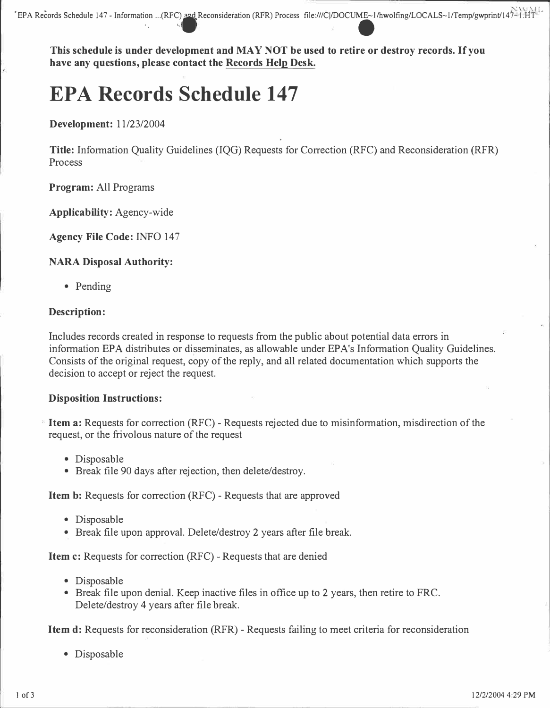**This schedule is under development and MAY NOT be used to retire or destroy records. If you have any questions, please contact the Records Help Desk.** 

# **EPA Records Schedule 147**

**Development:** 11/23/2004

**Title:** Information Quality Guidelines (IQG) Requests for Correction (RFC) and Reconsideration (RFR) Process

**Program:** All Programs

**Applicability:** Agency-wide

**Agency File Code: INFO 147** 

# **NARA Disposal Authority:**

• Pending

# **Description:**

Includes records created in response to requests from the public about potential data errors in information EPA distributes or disseminates, as allowable under EPA's Information Quality Guidelines. Consists of the original request, copy of the reply, and all related documentation which supports the decision to accept or reject the request.

### **Disposition Instructions:**

**Item a:** Requests for correction (RFC) - Requests rejected due to misinformation, misdirection of the request, or the frivolous nature of the request

- Disposable
- Break file 90 days after rejection, then delete/destroy.

**Item b:** Requests for correction (RFC) - Requests that are approved

- Disposable
- Break file upon approval. Delete/destroy 2 years after file break.

**Item c:** Requests for correction (RFC) - Requests that are denied

- Disposable
- Break file upon denial. Keep inactive files in office up to 2 years, then retire to FRC. Delete/destroy 4 years after file break.

**Item d:** Requests for reconsideration (RFR) - Requests failing to meet criteria for reconsideration

• Disposable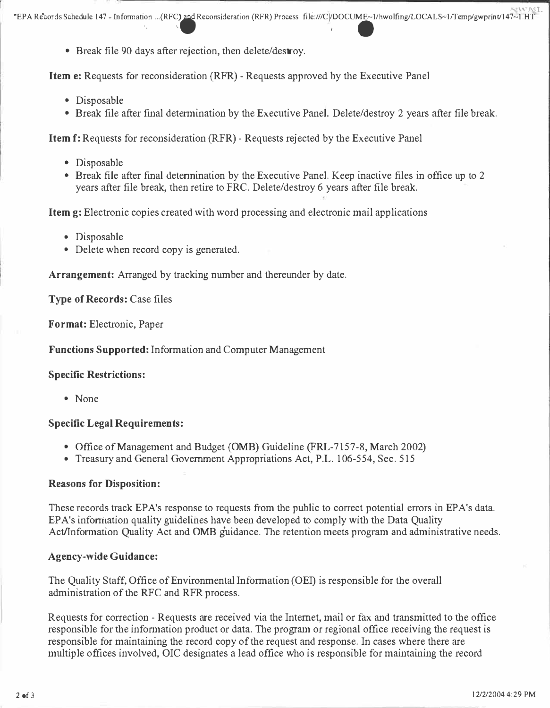', ,. I -

• Break file 90 days after rejection, then delete/destroy.

**Item e:** Requests for reconsideration (RFR) - Requests approved by the Executive Panel

- Disposable
- Break file after final determination by the Executive Panel. Delete/destroy 2 years after file break.

**Item** f: Requests for reconsideration (RFR) - Requests rejected by the Executive Panel

- Disposable
- Break file after final determination by the Executive Panel. Keep inactive files in office up to 2 years after file break, then retire to FRC. Delete/destroy 6 years after file break.

**Item g:** Electronic copies created with word processing and electronic mail applications

- Disposable
- Delete when record copy is generated.

**Arrangement:** Arranged by tracking number and thereunder by date.

**Type of Records:** Case files

**Format:** Electronic, Paper

**Functions Supported:** Information and Computer Management

#### **Specific Restrictions:**

• None

### **Specific Legal Requirements:**

- Office of Management and Budget **(0MB)** Guideline (FRL-7157-8, March 2002)
- Treasury and General Government Appropriations Act, P.L. 106-554, Sec. 515

#### **Reasons for Disposition:**

These records track EPA's response to requests from the public to correct potential errors in EPA's data. EPA's information quality guidelines have been developed to comply with the Data Quality Act/Information Quality Act and OMB guidance. The retention meets program and administrative needs.

#### **Agency-wide Guidance:**

The Quality Staff, Office of Environmental Information (OEI) is responsible for the overall administration of the RFC and RFR process.

Requests for correction - Requests are received via the Internet, mail or fax and transmitted to the office responsible for the information product or data. The program or regional office receiving the request is responsible for maintaining the record copy of the request and response. In cases where there are multiple offices involved, OIC designates a lead office who is responsible for maintaining the record